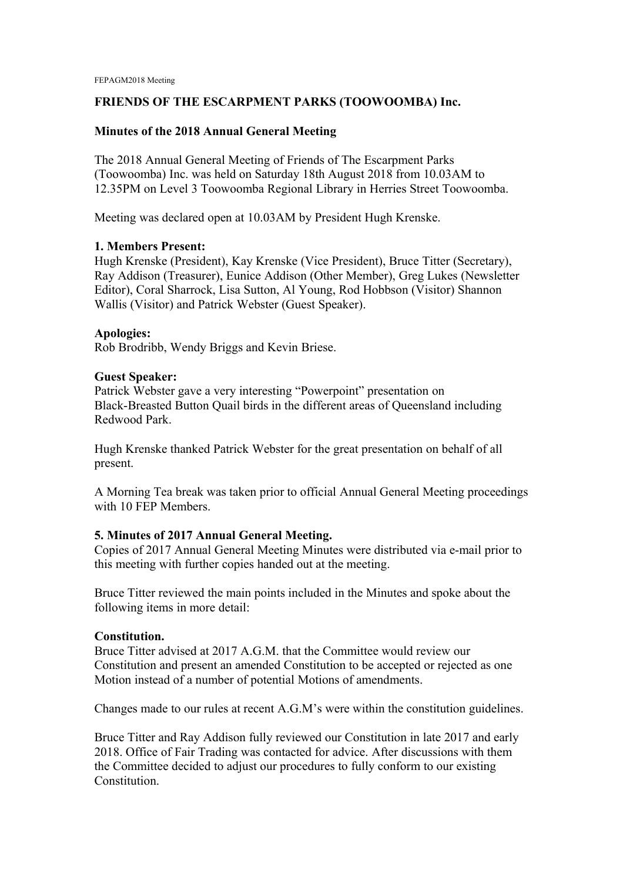## **FRIENDS OF THE ESCARPMENT PARKS (TOOWOOMBA) Inc.**

## **Minutes of the 2018 Annual General Meeting**

The 2018 Annual General Meeting of Friends of The Escarpment Parks (Toowoomba) Inc. was held on Saturday 18th August 2018 from 10.03AM to 12.35PM on Level 3 Toowoomba Regional Library in Herries Street Toowoomba.

Meeting was declared open at 10.03AM by President Hugh Krenske.

## **1. Members Present:**

Hugh Krenske (President), Kay Krenske (Vice President), Bruce Titter (Secretary), Ray Addison (Treasurer), Eunice Addison (Other Member), Greg Lukes (Newsletter Editor), Coral Sharrock, Lisa Sutton, Al Young, Rod Hobbson (Visitor) Shannon Wallis (Visitor) and Patrick Webster (Guest Speaker).

## **Apologies:**

Rob Brodribb, Wendy Briggs and Kevin Briese.

## **Guest Speaker:**

Patrick Webster gave a very interesting "Powerpoint" presentation on Black-Breasted Button Quail birds in the different areas of Queensland including Redwood Park.

Hugh Krenske thanked Patrick Webster for the great presentation on behalf of all present.

A Morning Tea break was taken prior to official Annual General Meeting proceedings with 10 FEP Members.

# **5. Minutes of 2017 Annual General Meeting.**

Copies of 2017 Annual General Meeting Minutes were distributed via e-mail prior to this meeting with further copies handed out at the meeting.

Bruce Titter reviewed the main points included in the Minutes and spoke about the following items in more detail:

## **Constitution.**

Bruce Titter advised at 2017 A.G.M. that the Committee would review our Constitution and present an amended Constitution to be accepted or rejected as one Motion instead of a number of potential Motions of amendments.

Changes made to our rules at recent A.G.M's were within the constitution guidelines.

Bruce Titter and Ray Addison fully reviewed our Constitution in late 2017 and early 2018. Office of Fair Trading was contacted for advice. After discussions with them the Committee decided to adjust our procedures to fully conform to our existing Constitution.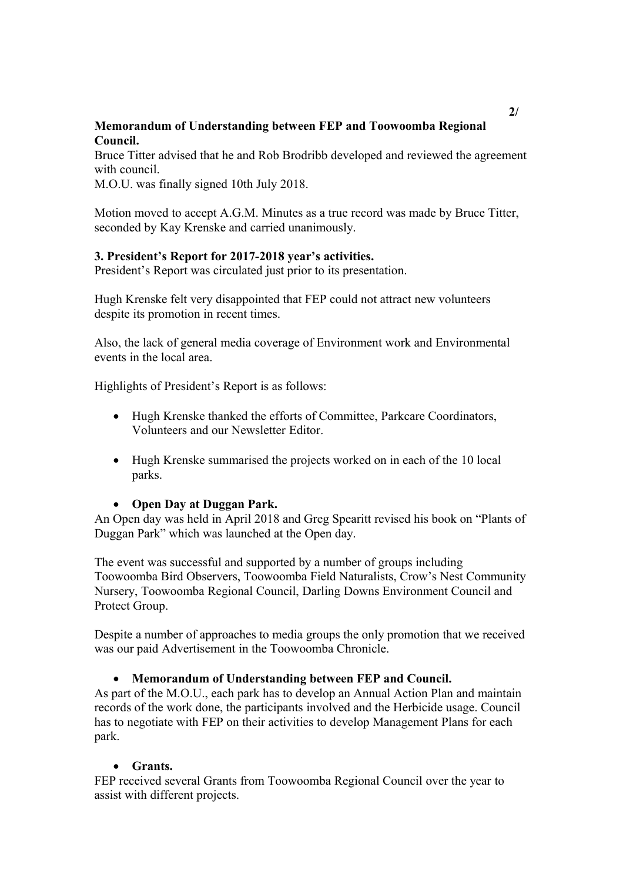# **Memorandum of Understanding between FEP and Toowoomba Regional Council.**

Bruce Titter advised that he and Rob Brodribb developed and reviewed the agreement with council.

M.O.U. was finally signed 10th July 2018.

Motion moved to accept A.G.M. Minutes as a true record was made by Bruce Titter, seconded by Kay Krenske and carried unanimously.

## **3. President's Report for 2017-2018 year's activities.**

President's Report was circulated just prior to its presentation.

Hugh Krenske felt very disappointed that FEP could not attract new volunteers despite its promotion in recent times.

Also, the lack of general media coverage of Environment work and Environmental events in the local area.

Highlights of President's Report is as follows:

- Hugh Krenske thanked the efforts of Committee, Parkcare Coordinators, Volunteers and our Newsletter Editor.
- Hugh Krenske summarised the projects worked on in each of the 10 local parks.

## **Open Day at Duggan Park.**

An Open day was held in April 2018 and Greg Spearitt revised his book on "Plants of Duggan Park" which was launched at the Open day.

The event was successful and supported by a number of groups including Toowoomba Bird Observers, Toowoomba Field Naturalists, Crow's Nest Community Nursery, Toowoomba Regional Council, Darling Downs Environment Council and Protect Group.

Despite a number of approaches to media groups the only promotion that we received was our paid Advertisement in the Toowoomba Chronicle.

## **Memorandum of Understanding between FEP and Council.**

As part of the M.O.U., each park has to develop an Annual Action Plan and maintain records of the work done, the participants involved and the Herbicide usage. Council has to negotiate with FEP on their activities to develop Management Plans for each park.

## **Grants.**

FEP received several Grants from Toowoomba Regional Council over the year to assist with different projects.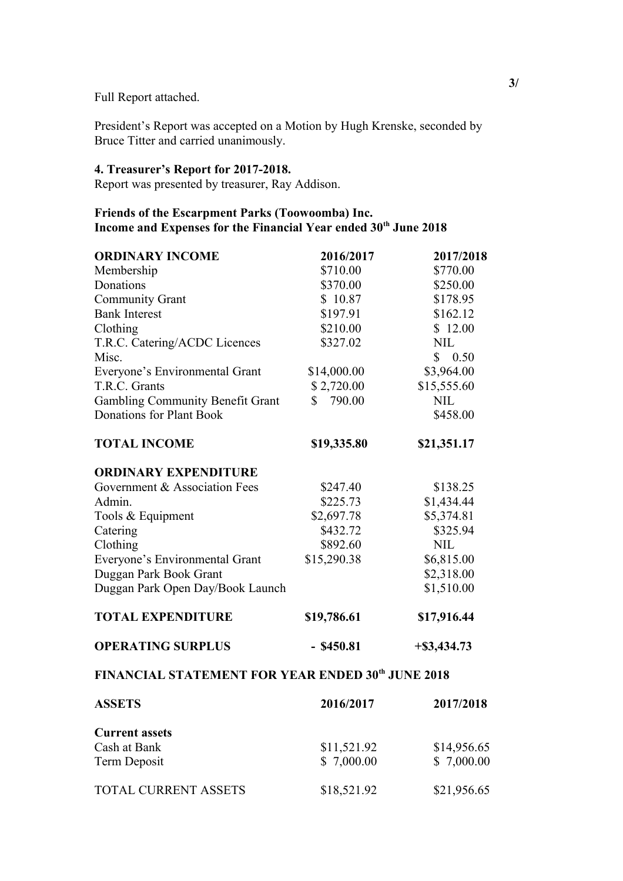Full Report attached.

President's Report was accepted on a Motion by Hugh Krenske, seconded by Bruce Titter and carried unanimously.

## **4. Treasurer's Report for 2017-2018.**

Report was presented by treasurer, Ray Addison.

# **Friends of the Escarpment Parks (Toowoomba) Inc. Income and Expenses for the Financial Year ended 30th June 2018**

| <b>ORDINARY INCOME</b>                  | 2016/2017    | 2017/2018      |
|-----------------------------------------|--------------|----------------|
| Membership                              | \$710.00     | \$770.00       |
| Donations                               | \$370.00     | \$250.00       |
| <b>Community Grant</b>                  | \$10.87      | \$178.95       |
| <b>Bank Interest</b>                    | \$197.91     | \$162.12       |
| Clothing                                | \$210.00     | \$12.00        |
| T.R.C. Catering/ACDC Licences           | \$327.02     | <b>NIL</b>     |
| Misc.                                   |              | \$0.50         |
| Everyone's Environmental Grant          | \$14,000.00  | \$3,964.00     |
| T.R.C. Grants                           | \$2,720.00   | \$15,555.60    |
| <b>Gambling Community Benefit Grant</b> | 790.00<br>\$ | <b>NIL</b>     |
| Donations for Plant Book                |              | \$458.00       |
| <b>TOTAL INCOME</b>                     | \$19,335.80  | \$21,351.17    |
| <b>ORDINARY EXPENDITURE</b>             |              |                |
| Government & Association Fees           | \$247.40     | \$138.25       |
| Admin.                                  | \$225.73     | \$1,434.44     |
| Tools & Equipment                       | \$2,697.78   | \$5,374.81     |
| Catering                                | \$432.72     | \$325.94       |
| Clothing                                | \$892.60     | <b>NIL</b>     |
| Everyone's Environmental Grant          | \$15,290.38  | \$6,815.00     |
| Duggan Park Book Grant                  |              | \$2,318.00     |
| Duggan Park Open Day/Book Launch        |              | \$1,510.00     |
| <b>TOTAL EXPENDITURE</b>                | \$19,786.61  | \$17,916.44    |
| <b>OPERATING SURPLUS</b>                | $-$ \$450.81 | $+$ \$3,434.73 |
|                                         |              |                |

# **FINANCIAL STATEMENT FOR YEAR ENDED 30th JUNE 2018**

| <b>ASSETS</b>         | 2016/2017   | 2017/2018   |
|-----------------------|-------------|-------------|
| <b>Current assets</b> |             |             |
| Cash at Bank          | \$11,521.92 | \$14,956.65 |
| Term Deposit          | \$7,000.00  | \$7,000.00  |
| TOTAL CURRENT ASSETS  | \$18,521.92 | \$21,956.65 |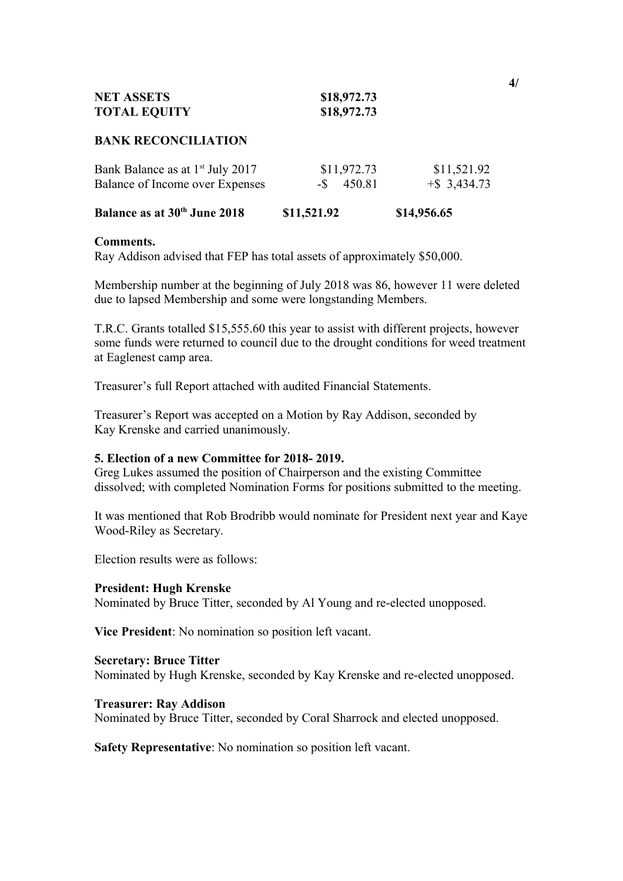| <b>NET ASSETS</b>   | \$18,972.73 |
|---------------------|-------------|
| <b>TOTAL EQUITY</b> | \$18,972.73 |

#### **BANK RECONCILIATION**

| Bank Balance as at 1 <sup>st</sup> July 2017 | \$11,972.73   | \$11,521.92     |
|----------------------------------------------|---------------|-----------------|
| Balance of Income over Expenses              | $-$ \$ 450.81 | $+$ \$ 3,434.73 |

| <b>Balance as at 30th June 2018</b> | \$11,521.92 | \$14,956.65 |
|-------------------------------------|-------------|-------------|
|                                     |             |             |

#### **Comments.**

Ray Addison advised that FEP has total assets of approximately \$50,000.

Membership number at the beginning of July 2018 was 86, however 11 were deleted due to lapsed Membership and some were longstanding Members.

T.R.C. Grants totalled \$15,555.60 this year to assist with different projects, however some funds were returned to council due to the drought conditions for weed treatment at Eaglenest camp area.

Treasurer's full Report attached with audited Financial Statements.

Treasurer's Report was accepted on a Motion by Ray Addison, seconded by Kay Krenske and carried unanimously.

## **5. Election of a new Committee for 2018- 2019.**

Greg Lukes assumed the position of Chairperson and the existing Committee dissolved; with completed Nomination Forms for positions submitted to the meeting.

It was mentioned that Rob Brodribb would nominate for President next year and Kaye Wood-Riley as Secretary.

Election results were as follows:

#### **President: Hugh Krenske**

Nominated by Bruce Titter, seconded by Al Young and re-elected unopposed.

**Vice President**: No nomination so position left vacant.

#### **Secretary: Bruce Titter**

Nominated by Hugh Krenske, seconded by Kay Krenske and re-elected unopposed.

#### **Treasurer: Ray Addison**

Nominated by Bruce Titter, seconded by Coral Sharrock and elected unopposed.

**Safety Representative**: No nomination so position left vacant.

**4/**